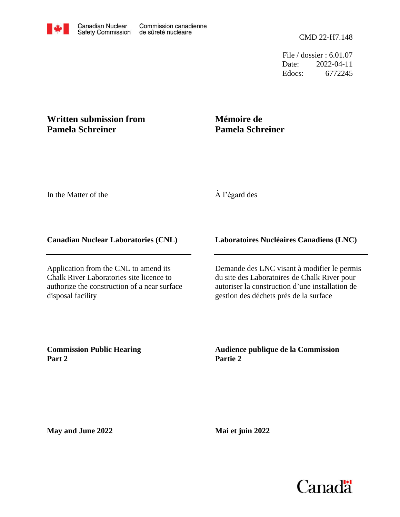File / dossier : 6.01.07 Date: 2022-04-11 Edocs: 6772245

### **Written submission from Pamela Schreiner**

# **Mémoire de Pamela Schreiner**

In the Matter of the

### À l'égard des

#### **Canadian Nuclear Laboratories (CNL)**

Application from the CNL to amend its Chalk River Laboratories site licence to authorize the construction of a near surface disposal facility

### **Laboratoires Nucléaires Canadiens (LNC)**

Demande des LNC visant à modifier le permis du site des Laboratoires de Chalk River pour autoriser la construction d'une installation de gestion des déchets près de la surface

**Commission Public Hearing Part 2**

**Audience publique de la Commission Partie 2**

**May and June 2022**

**Mai et juin 2022**